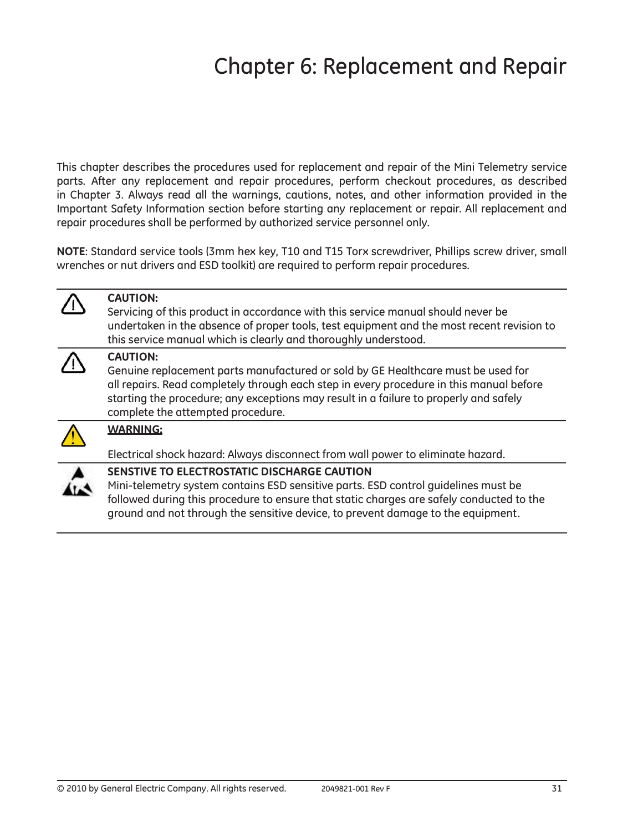## Chapter 6: Replacement and Repair

This chapter describes the procedures used for replacement and repair of the Mini Telemetry service parts. After any replacement and repair procedures, perform checkout procedures, as described in Chapter 3. Always read all the warnings, cautions, notes, and other information provided in the Important Safety Information section before starting any replacement or repair. All replacement and repair procedures shall be performed by authorized service personnel only.

NOTE: Standard service tools (3mm hex key, T10 and T15 Torx screwdriver, Phillips screw driver, small wrenches or nut drivers and ESD toolkit) are required to perform repair procedures.

| <b>CAUTION:</b><br>Servicing of this product in accordance with this service manual should never be<br>undertaken in the absence of proper tools, test equipment and the most recent revision to<br>this service manual which is clearly and thoroughly understood.                                                          |
|------------------------------------------------------------------------------------------------------------------------------------------------------------------------------------------------------------------------------------------------------------------------------------------------------------------------------|
| <b>CAUTION:</b><br>Genuine replacement parts manufactured or sold by GE Healthcare must be used for<br>all repairs. Read completely through each step in every procedure in this manual before<br>starting the procedure; any exceptions may result in a failure to properly and safely<br>complete the attempted procedure. |
| <b>WARNING:</b><br>Electrical shock hazard: Always disconnect from wall power to eliminate hazard.                                                                                                                                                                                                                           |
| SENSTIVE TO ELECTROSTATIC DISCHARGE CAUTION<br>Mini-telemetry system contains ESD sensitive parts. ESD control guidelines must be                                                                                                                                                                                            |

Mini-telemetry system contains ESD sensitive parts. ESD control guidelines must be followed during this procedure to ensure that static charges are safely conducted to the ground and not through the sensitive device, to prevent damage to the equipment.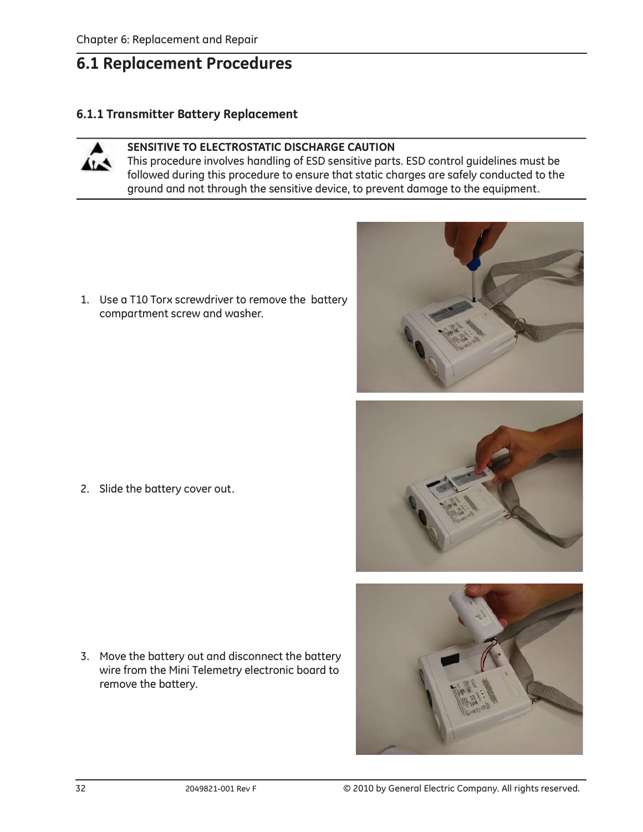## 6.1 Replacement Procedures

#### 6.1.1 Transmitter Battery Replacement



#### SENSITIVE TO ELECTROSTATIC DISCHARGE CAUTION

This procedure involves handling of ESD sensitive parts. ESD control guidelines must be followed during this procedure to ensure that static charges are safely conducted to the ground and not through the sensitive device, to prevent damage to the equipment.

1. Use a T10 Torx screwdriver to remove the battery compartment screw and washer.

2. Slide the battery cover out.

3. Move the battery out and disconnect the battery wire from the Mini Telemetry electronic board to remove the battery.





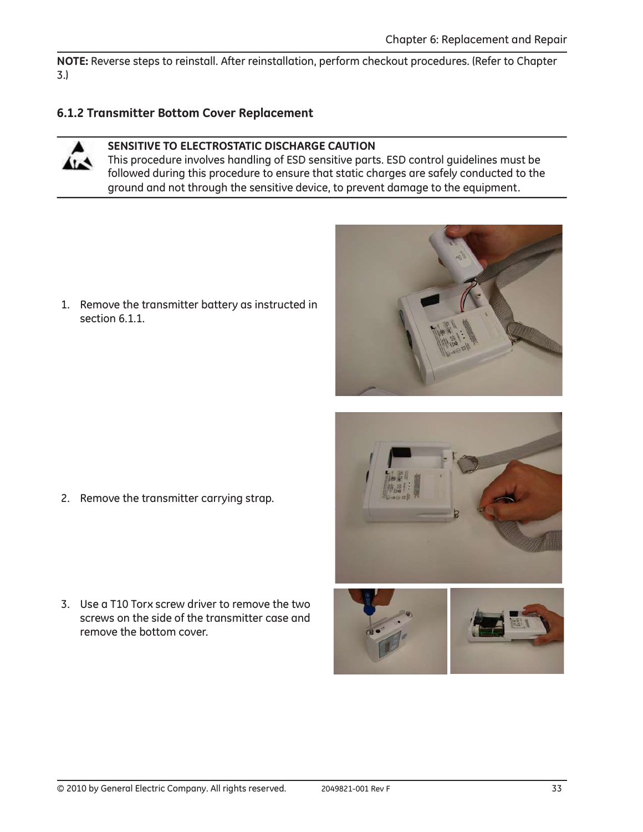NOTE: Reverse steps to reinstall. After reinstallation, perform checkout procedures. (Refer to Chapter 3.)

## 6.1.2 Transmitter Bottom Cover Replacement



#### SENSITIVE TO ELECTROSTATIC DISCHARGE CAUTION

This procedure involves handling of ESD sensitive parts. ESD control guidelines must be followed during this procedure to ensure that static charges are safely conducted to the ground and not through the sensitive device, to prevent damage to the equipment.

1. Remove the transmitter battery as instructed in section 6.1.1.



3. Use a T10 Torx screw driver to remove the two screws on the side of the transmitter case and remove the bottom cover.





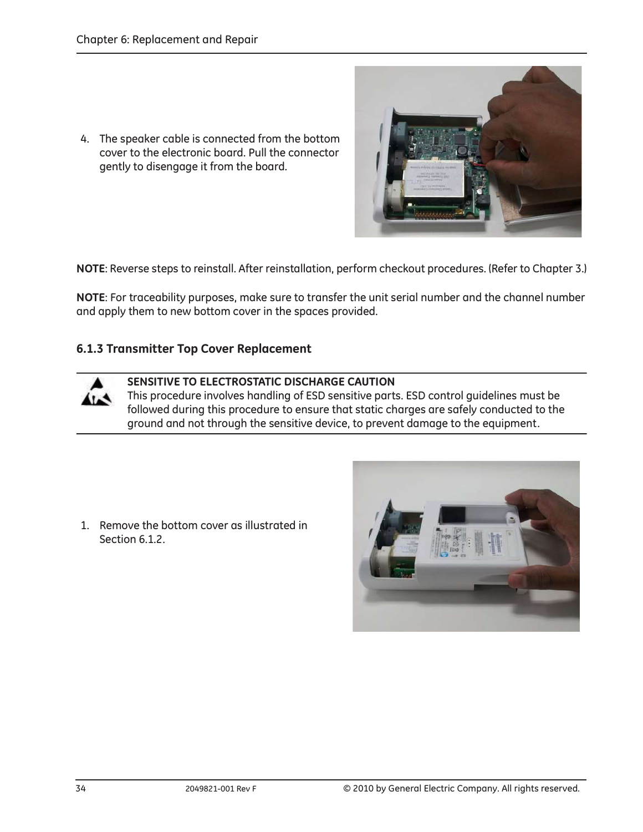4. The speaker cable is connected from the bottom cover to the electronic board. Pull the connector gently to disengage it from the board.

NOTE: Reverse steps to reinstall. After reinstallation, perform checkout procedures. (Refer to Chapter 3.)

NOTE: For traceability purposes, make sure to transfer the unit serial number and the channel number and apply them to new bottom cover in the spaces provided.

#### 6.1.3 Transmitter Top Cover Replacement



SENSITIVE TO ELECTROSTATIC DISCHARGE CAUTION

This procedure involves handling of ESD sensitive parts. ESD control guidelines must be followed during this procedure to ensure that static charges are safely conducted to the ground and not through the sensitive device, to prevent damage to the equipment.

1. Remove the bottom cover as illustrated in Section 6.1.2.

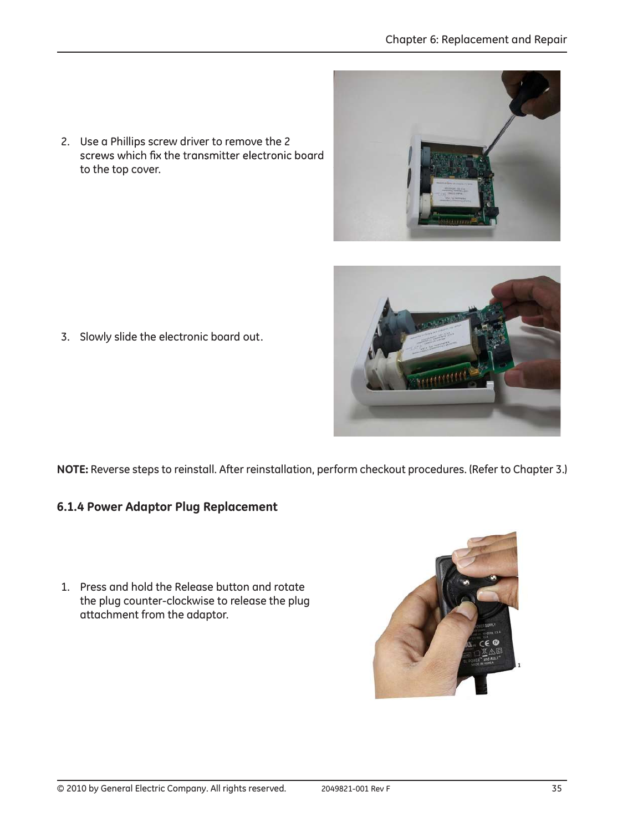2. Use a Phillips screw driver to remove the 2 screws which fix the transmitter electronic board to the top cover.

3. Slowly slide the electronic board out.

NOTE: Reverse steps to reinstall. After reinstallation, perform checkout procedures. (Refer to Chapter 3.)

- 6.1.4 Power Adaptor Plug Replacement
- 1. Press and hold the Release button and rotate the plug counter-clockwise to release the plug attachment from the adaptor.



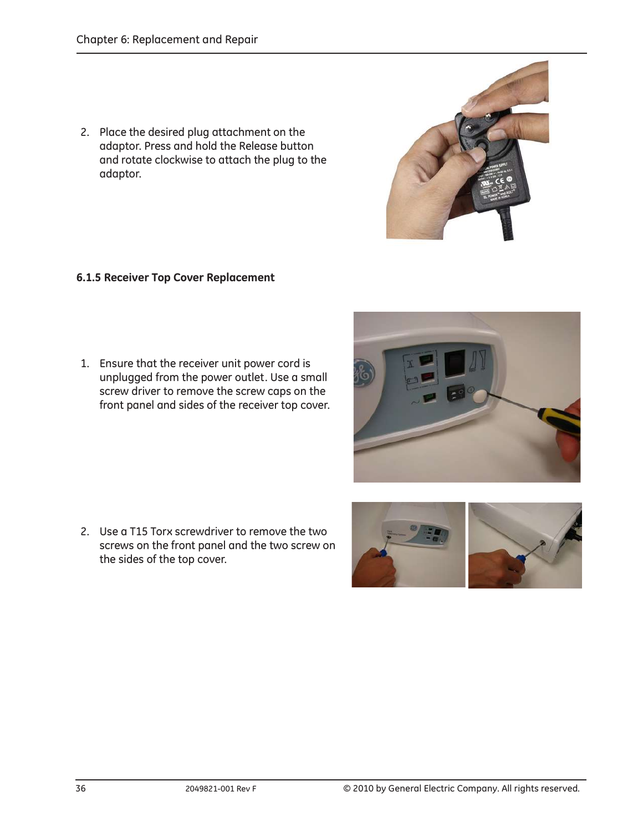2. Place the desired plug attachment on the adaptor. Press and hold the Release button and rotate clockwise to attach the plug to the adaptor.

#### 6.1.5 Receiver Top Cover Replacement

1. Ensure that the receiver unit power cord is unplugged from the power outlet. Use a small screw driver to remove the screw caps on the front panel and sides of the receiver top cover.

2. Use a T15 Torx screwdriver to remove the two screws on the front panel and the two screw on the sides of the top cover.





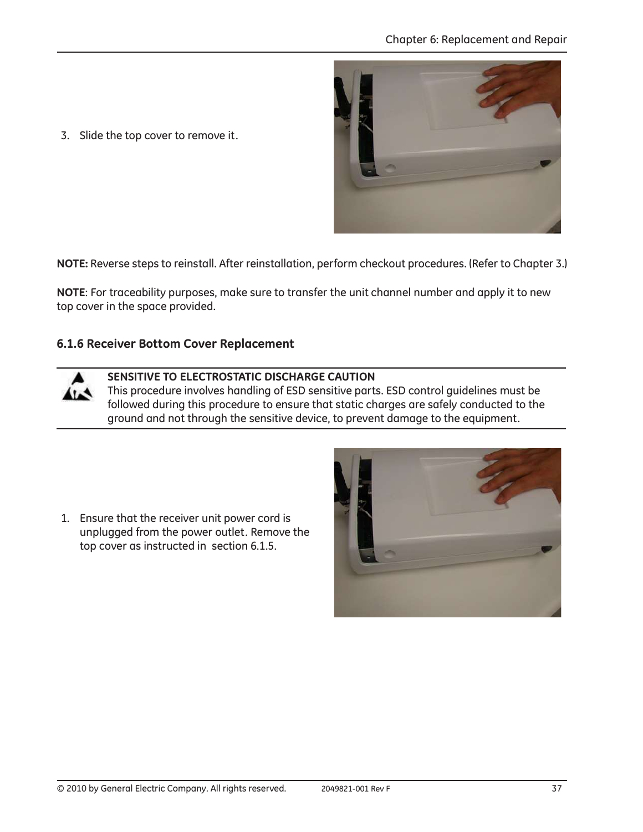

3. Slide the top cover to remove it.

NOTE: Reverse steps to reinstall. After reinstallation, perform checkout procedures. (Refer to Chapter 3.)

NOTE: For traceability purposes, make sure to transfer the unit channel number and apply it to new top cover in the space provided.

#### 6.1.6 Receiver Bottom Cover Replacement

 $\sim$ 



This procedure involves handling of ESD sensitive parts. ESD control guidelines must be followed during this procedure to ensure that static charges are safely conducted to the ground and not through the sensitive device, to prevent damage to the equipment.

1. Ensure that the receiver unit power cord is unplugged from the power outlet. Remove the top cover as instructed in section 6.1.5.

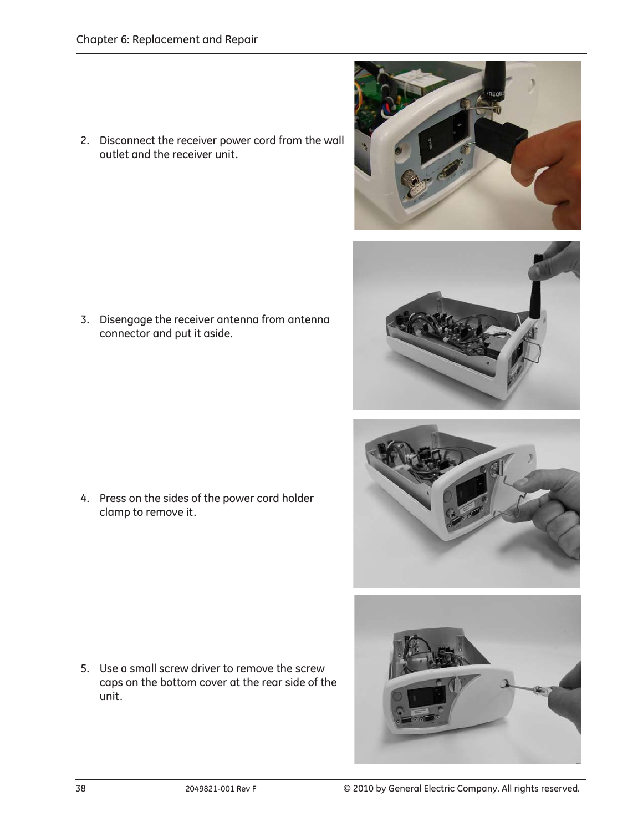2. Disconnect the receiver power cord from the wall outlet and the receiver unit.

3. Disengage the receiver antenna from antenna connector and put it aside.

4. Press on the sides of the power cord holder clamp to remove it.

5. Use a small screw driver to remove the screw

caps on the bottom cover at the rear side of the









unit.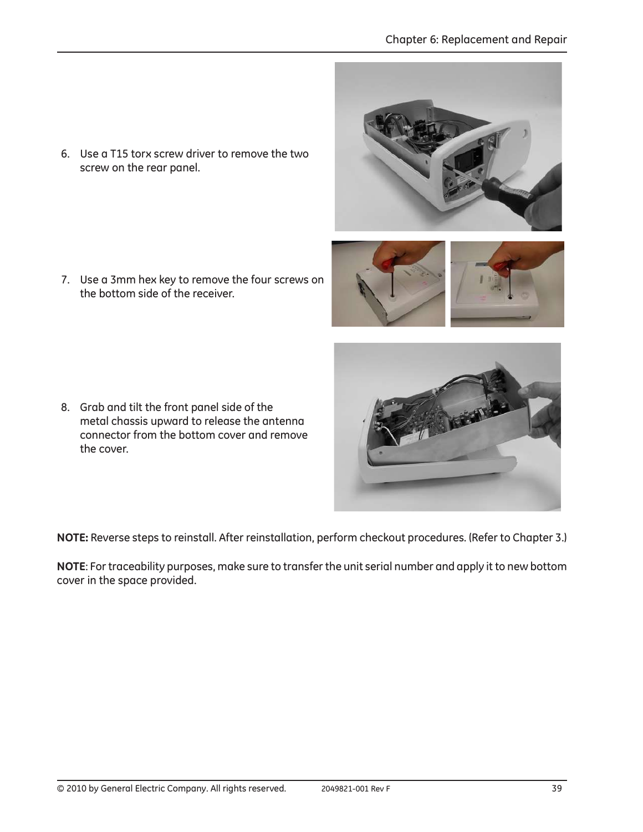6. Use a T15 torx screw driver to remove the two screw on the rear panel.

7. Use a 3mm hex key to remove the four screws on the bottom side of the receiver.

8. Grab and tilt the front panel side of the metal chassis upward to release the antenna connector from the bottom cover and remove the cover.

NOTE: Reverse steps to reinstall. After reinstallation, perform checkout procedures. (Refer to Chapter 3.)

NOTE: For traceability purposes, make sure to transfer the unit serial number and apply it to new bottom cover in the space provided.



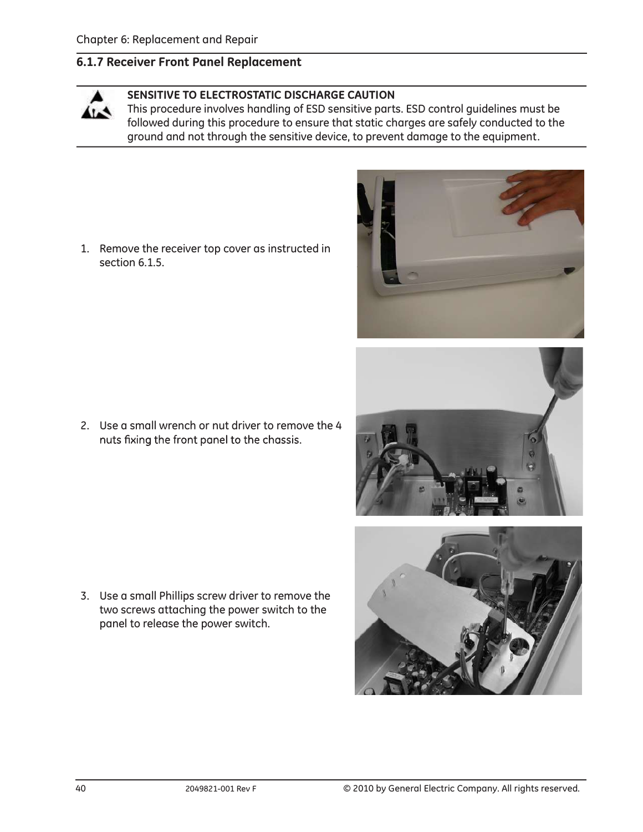#### 6.1.7 Receiver Front Panel Replacement

#### SENSITIVE TO ELECTROSTATIC DISCHARGE CAUTION

This procedure involves handling of ESD sensitive parts. ESD control guidelines must be followed during this procedure to ensure that static charges are safely conducted to the ground and not through the sensitive device, to prevent damage to the equipment.

1. Remove the receiver top cover as instructed in section 6.1.5.

2. Use a small wrench or nut driver to remove the 4 nuts fixing the front panel to the chassis.

3. Use a small Phillips screw driver to remove the two screws attaching the power switch to the panel to release the power switch.



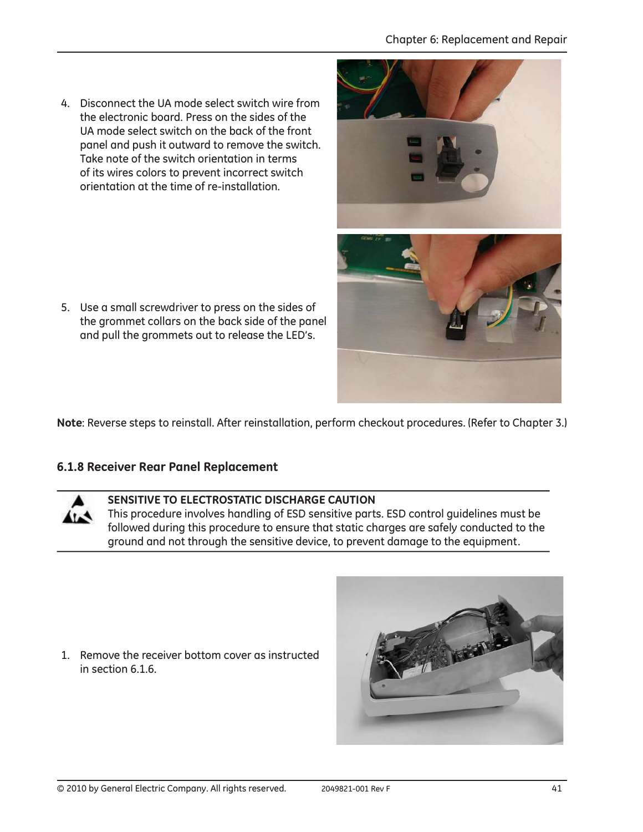4. Disconnect the UA mode select switch wire from the electronic board. Press on the sides of the UA mode select switch on the back of the front panel and push it outward to remove the switch. Take note of the switch orientation in terms of its wires colors to prevent incorrect switch orientation at the time of re-installation.

5. Use a small screwdriver to press on the sides of the grommet collars on the back side of the panel and pull the grommets out to release the LED's.

Note: Reverse steps to reinstall. After reinstallation, perform checkout procedures. (Refer to Chapter 3.)

#### 6.1.8 Receiver Rear Panel Replacement

SENSITIVE TO ELECTROSTATIC DISCHARGE CAUTION

This procedure involves handling of ESD sensitive parts. ESD control guidelines must be followed during this procedure to ensure that static charges are safely conducted to the ground and not through the sensitive device, to prevent damage to the equipment.

1. Remove the receiver bottom cover as instructed in section 6.1.6.





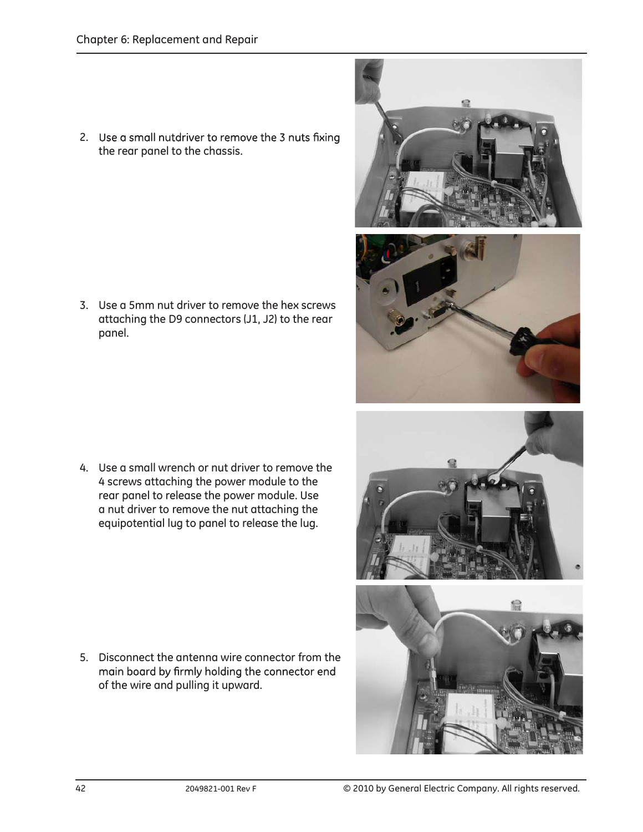2. Use a small nutdriver to remove the 3 nuts fixing the rear panel to the chassis.

3. Use a 5mm nut driver to remove the hex screws attaching the D9 connectors (J1, J2) to the rear panel.

4. Use a small wrench or nut driver to remove the 4 screws attaching the power module to the rear panel to release the power module. Use a nut driver to remove the nut attaching the equipotential lug to panel to release the lug.

5. Disconnect the antenna wire connector from the main board by firmly holding the connector end of the wire and pulling it upward.





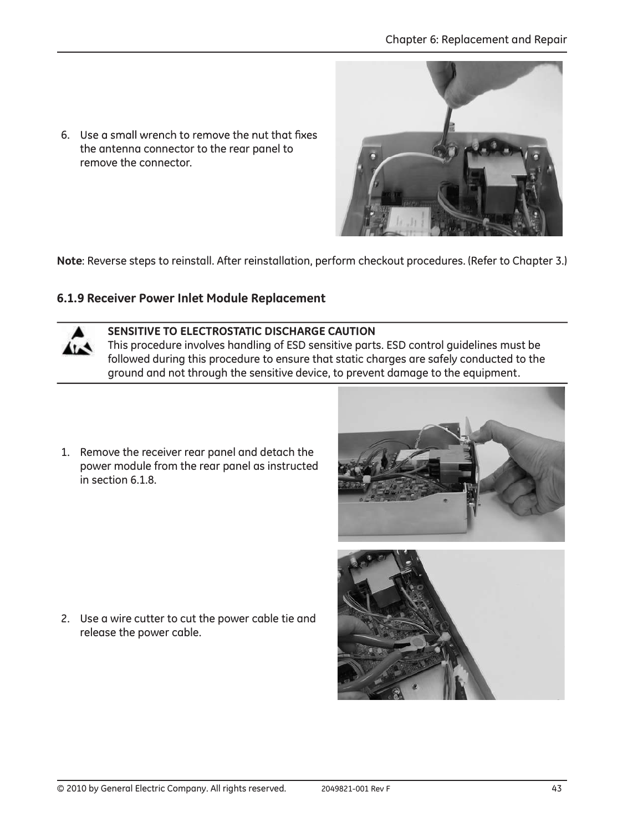6. Use a small wrench to remove the nut that fixes the antenna connector to the rear panel to remove the connector.

Note: Reverse steps to reinstall. After reinstallation, perform checkout procedures. (Refer to Chapter 3.)

#### 6.1.9 Receiver Power Inlet Module Replacement



#### SENSITIVE TO ELECTROSTATIC DISCHARGE CAUTION

This procedure involves handling of ESD sensitive parts. ESD control guidelines must be followed during this procedure to ensure that static charges are safely conducted to the ground and not through the sensitive device, to prevent damage to the equipment.

1. Remove the receiver rear panel and detach the power module from the rear panel as instructed in section 6.1.8.

2. Use a wire cutter to cut the power cable tie and release the power cable.



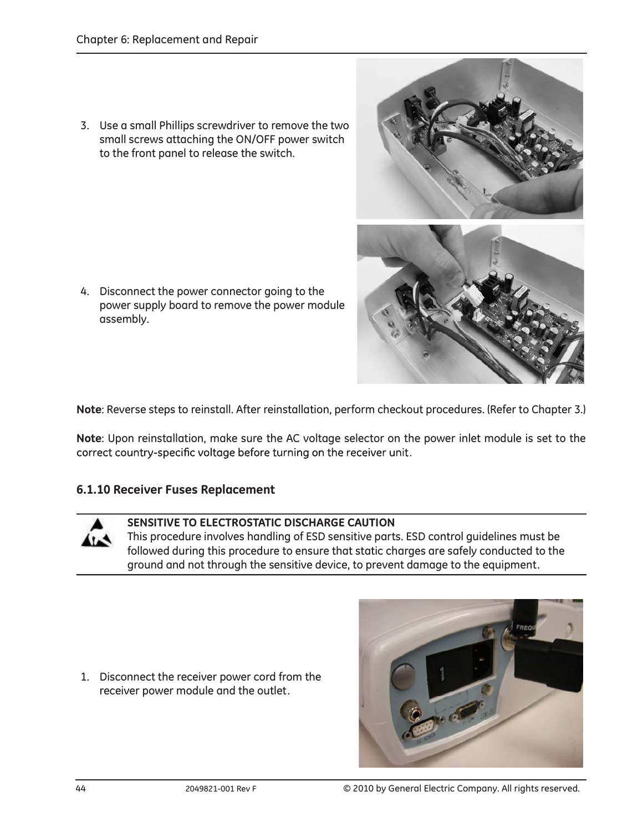3. Use a small Phillips screwdriver to remove the two small screws attaching the ON/OFF power switch to the front panel to release the switch.

4. Disconnect the power connector going to the power supply board to remove the power module assembly.

Note: Reverse steps to reinstall. After reinstallation, perform checkout procedures. (Refer to Chapter 3.)

Note: Upon reinstallation, make sure the AC voltage selector on the power inlet module is set to the correct country-specific voltage before turning on the receiver unit.

## 6.1.10 Receiver Fuses Replacement

## SENSITIVE TO ELECTROSTATIC DISCHARGE CAUTION

This procedure involves handling of ESD sensitive parts. ESD control guidelines must be followed during this procedure to ensure that static charges are safely conducted to the ground and not through the sensitive device, to prevent damage to the equipment.

1. Disconnect the receiver power cord from the receiver power module and the outlet.



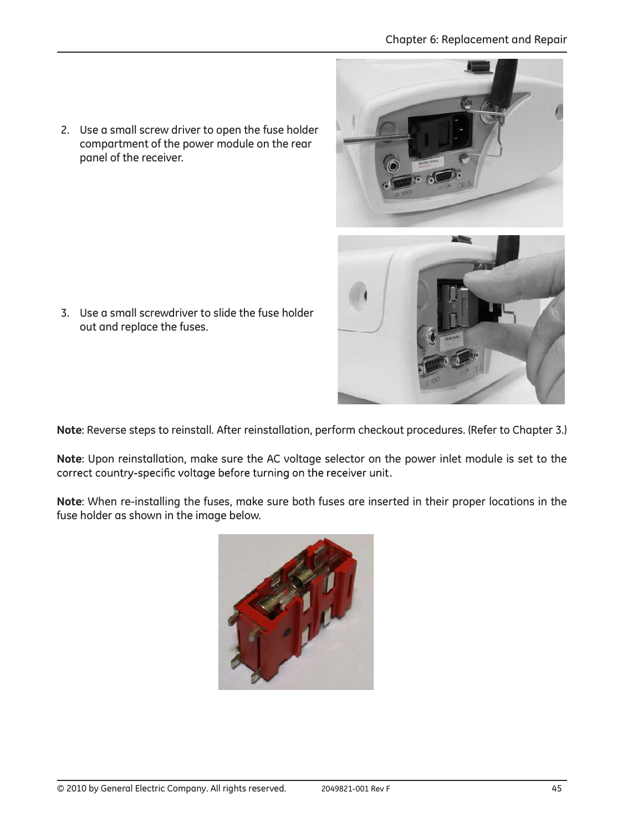2. Use a small screw driver to open the fuse holder compartment of the power module on the rear panel of the receiver.

3. Use a small screwdriver to slide the fuse holder out and replace the fuses.

Note: Reverse steps to reinstall. After reinstallation, perform checkout procedures. (Refer to Chapter 3.)

Note: Upon reinstallation, make sure the AC voltage selector on the power inlet module is set to the correct country-specific voltage before turning on the receiver unit.

Note: When re-installing the fuses, make sure both fuses are inserted in their proper locations in the fuse holder as shown in the image below.



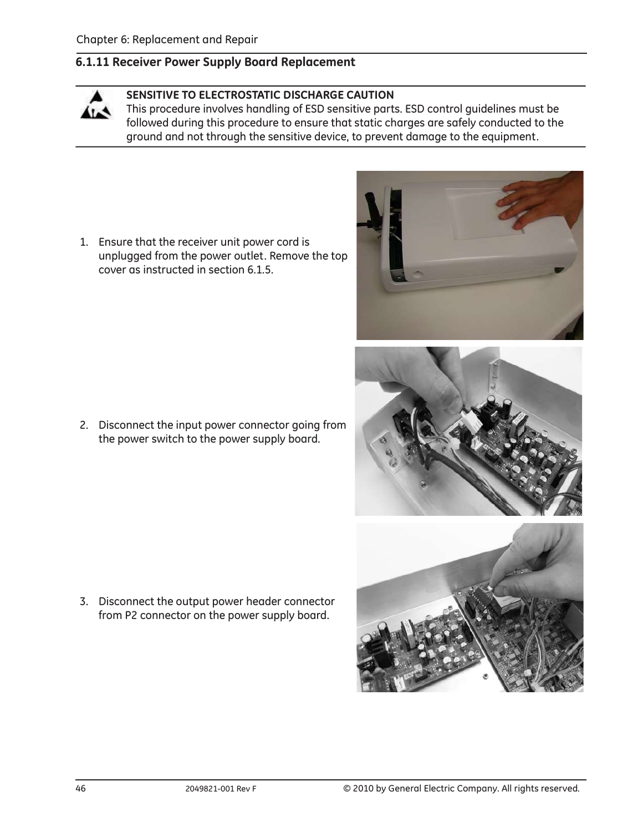### 6.1.11 Receiver Power Supply Board Replacement

#### SENSITIVE TO ELECTROSTATIC DISCHARGE CAUTION

This procedure involves handling of ESD sensitive parts. ESD control guidelines must be followed during this procedure to ensure that static charges are safely conducted to the ground and not through the sensitive device, to prevent damage to the equipment.

1. Ensure that the receiver unit power cord is unplugged from the power outlet. Remove the top cover as instructed in section 6.1.5.

2. Disconnect the input power connector going from the power switch to the power supply board.

3. Disconnect the output power header connector from P2 connector on the power supply board.





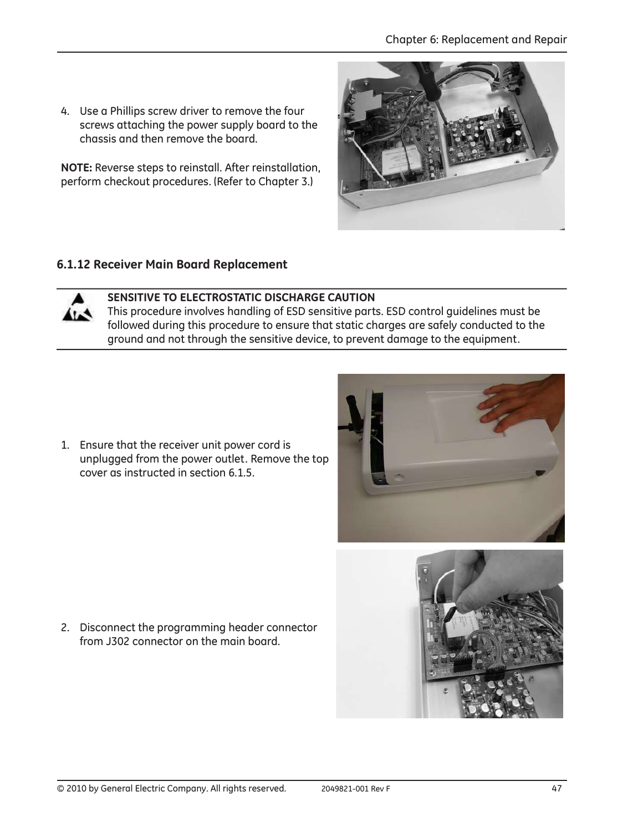4. Use a Phillips screw driver to remove the four screws attaching the power supply board to the chassis and then remove the board.

NOTE: Reverse steps to reinstall. After reinstallation, perform checkout procedures. (Refer to Chapter 3.)



## 6.1.12 Receiver Main Board Replacement



# SENSITIVE TO ELECTROSTATIC DISCHARGE CAUTION

This procedure involves handling of ESD sensitive parts. ESD control guidelines must be followed during this procedure to ensure that static charges are safely conducted to the ground and not through the sensitive device, to prevent damage to the equipment.

1. Ensure that the receiver unit power cord is unplugged from the power outlet. Remove the top cover as instructed in section 6.1.5.



2. Disconnect the programming header connector from J302 connector on the main board.

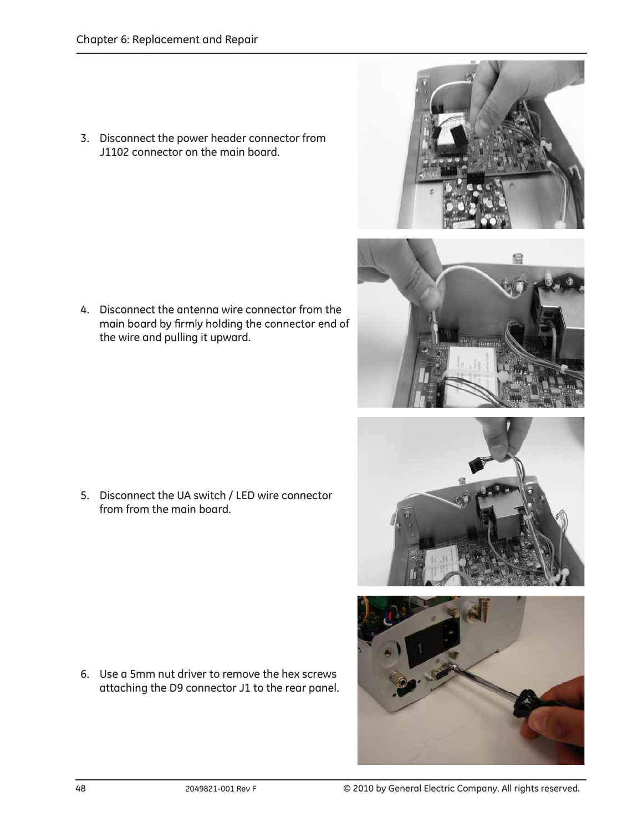3. Disconnect the power header connector from J1102 connector on the main board.

4. Disconnect the antenna wire connector from the main board by firmly holding the connector end of the wire and pulling it upward.

5. Disconnect the UA switch / LED wire connector from from the main board.

6. Use a 5mm nut driver to remove the hex screws attaching the D9 connector J1 to the rear panel.